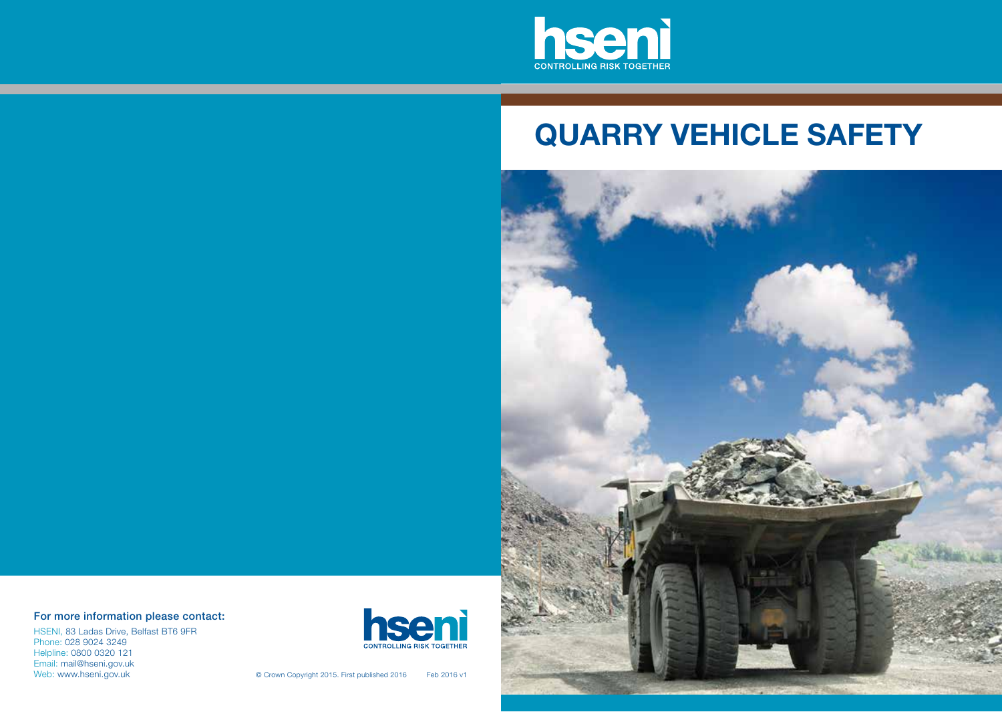

# **QUARRY VEHICLE SAFETY**



### For more information please contact:

HSENI, 83 Ladas Drive, Belfast BT6 9FR Phone: 028 9024 3249 Helpline: 0800 0320 121 Email: mail@hseni.gov.uk<br>Web: www.hseni.gov.uk



© Crown Copyright 2015. First published 2016 Feb 2016 v1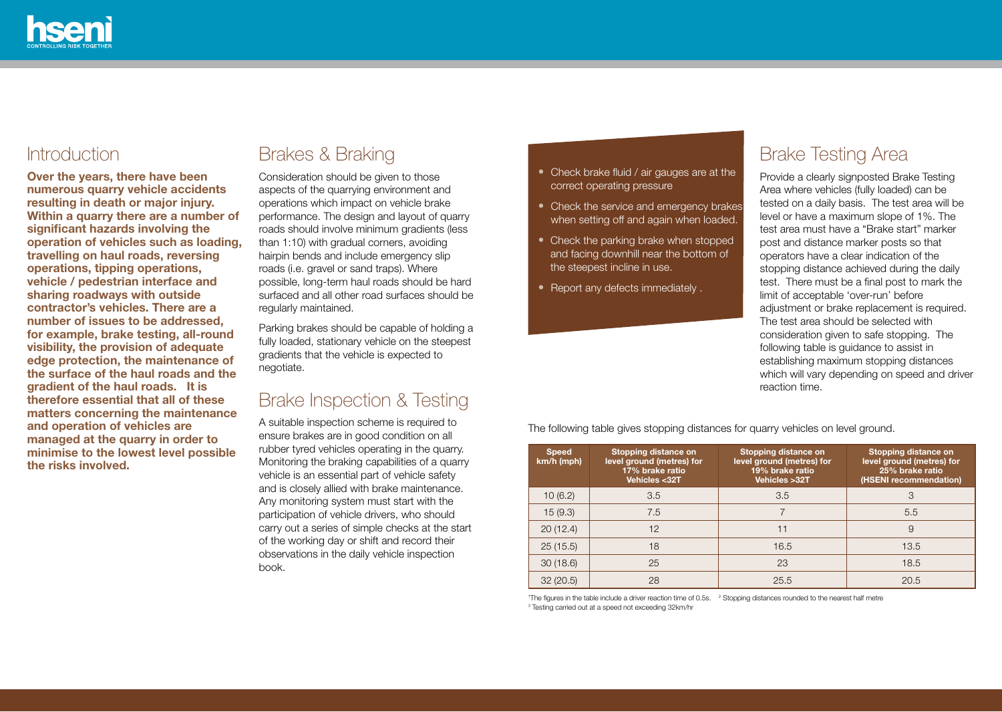

### Introduction

**Over the years, there have been numerous quarry vehicle accidents resulting in death or major injury. Within a quarry there are a number of significant hazards involving the operation of vehicles such as loading, travelling on haul roads, reversing operations, tipping operations, vehicle / pedestrian interface and sharing roadways with outside contractor's vehicles. There are a number of issues to be addressed, for example, brake testing, all-round visibility, the provision of adequate edge protection, the maintenance of the surface of the haul roads and the gradient of the haul roads. It is therefore essential that all of these matters concerning the maintenance and operation of vehicles are managed at the quarry in order to minimise to the lowest level possible the risks involved.** 

## Brakes & Braking

Consideration should be given to those aspects of the quarrying environment and operations which impact on vehicle brake performance. The design and layout of quarry roads should involve minimum gradients (less than 1:10) with gradual corners, avoiding hairpin bends and include emergency slip roads (i.e. gravel or sand traps). Where possible, long-term haul roads should be hard surfaced and all other road surfaces should be regularly maintained.

Parking brakes should be capable of holding a fully loaded, stationary vehicle on the steepest gradients that the vehicle is expected to negotiate.

### Brake Inspection & Testing

A suitable inspection scheme is required to ensure brakes are in good condition on all rubber tyred vehicles operating in the quarry. Monitoring the braking capabilities of a quarry vehicle is an essential part of vehicle safety and is closely allied with brake maintenance. Any monitoring system must start with the participation of vehicle drivers, who should carry out a series of simple checks at the start of the working day or shift and record their observations in the daily vehicle inspection book.

- Check brake fluid / air gauges are at the correct operating pressure
- Check the service and emergency brakes when setting off and again when loaded.
- Check the parking brake when stopped and facing downhill near the bottom of the steepest incline in use.
- Report any defects immediately .

### Brake Testing Area

Provide a clearly signposted Brake Testing Area where vehicles (fully loaded) can be tested on a daily basis. The test area will be level or have a maximum slope of 1%. The test area must have a "Brake start" marker post and distance marker posts so that operators have a clear indication of the stopping distance achieved during the daily test. There must be a final post to mark the limit of acceptable 'over-run' before adjustment or brake replacement is required. The test area should be selected with consideration given to safe stopping. The following table is guidance to assist in establishing maximum stopping distances which will vary depending on speed and driver reaction time.

| <b>Speed</b><br>km/h (mph) | Stopping distance on<br>level ground (metres) for<br>17% brake ratio<br>Vehicles <32T | Stopping distance on<br>level ground (metres) for<br>19% brake ratio<br>Vehicles > 32T | Stopping distance on<br>level ground (metres) for<br>25% brake ratio<br>(HSENI recommendation) |
|----------------------------|---------------------------------------------------------------------------------------|----------------------------------------------------------------------------------------|------------------------------------------------------------------------------------------------|
| 10(6.2)                    | 3.5                                                                                   | 3.5                                                                                    | 3                                                                                              |
| 15(9.3)                    | 7.5                                                                                   | $\overline{ }$                                                                         | 5.5                                                                                            |
| 20(12.4)                   | 12                                                                                    | 11                                                                                     | 9                                                                                              |
| 25(15.5)                   | 18                                                                                    | 16.5                                                                                   | 13.5                                                                                           |
| 30(18.6)                   | 25                                                                                    | 23                                                                                     | 18.5                                                                                           |
| 32(20.5)                   | 28                                                                                    | 25.5                                                                                   | 20.5                                                                                           |

The following table gives stopping distances for quarry vehicles on level ground.

<sup>1</sup>The figures in the table include a driver reaction time of 0.5s. <sup>2</sup> Stopping distances rounded to the nearest half metre<br><sup>3</sup> Testing carried out at a speed not exceeding 32km/hr. <sup>3</sup> Testing carried out at a speed not exceeding 32km/hr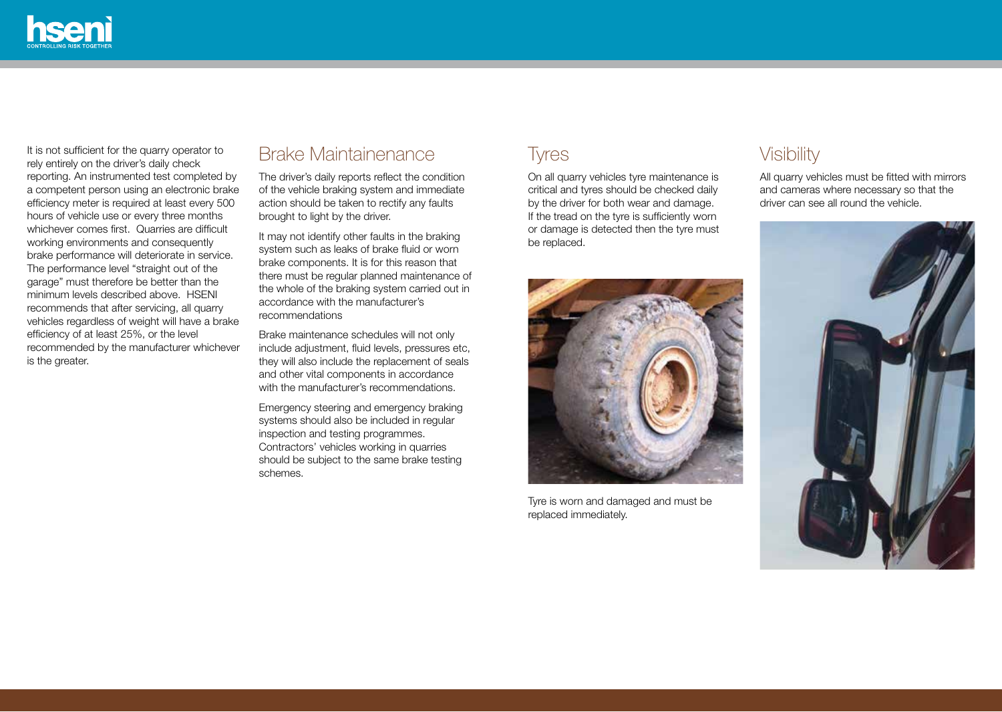

It is not sufficient for the quarry operator to rely entirely on the driver's daily check reporting. An instrumented test completed by a competent person using an electronic brake efficiency meter is required at least every 500 hours of vehicle use or every three months whichever comes first. Quarries are difficult working environments and consequently brake performance will deteriorate in service. The performance level "straight out of the garage" must therefore be better than the minimum levels described above. HSENI recommends that after servicing, all quarry vehicles regardless of weight will have a brake efficiency of at least 25%, or the level recommended by the manufacturer whichever is the greater.

### Brake Maintainenance

The driver's daily reports reflect the condition of the vehicle braking system and immediate action should be taken to rectify any faults brought to light by the driver.

It may not identify other faults in the braking system such as leaks of brake fluid or worn brake components. It is for this reason that there must be regular planned maintenance of the whole of the braking system carried out in accordance with the manufacturer's recommendations

Brake maintenance schedules will not only include adjustment, fluid levels, pressures etc, they will also include the replacement of seals and other vital components in accordance with the manufacturer's recommendations.

Emergency steering and emergency braking systems should also be included in regular inspection and testing programmes. Contractors' vehicles working in quarries should be subject to the same brake testing schemes.

by the driver for both wear and damage. If the tread on the tyre is sufficiently worn or damage is detected then the tyre must be replaced.



Tyre is worn and damaged and must be replaced immediately.

### Tyres Visibility

On all quarry vehicles tyre maintenance is All quarry vehicles must be fitted with mirrors critical and tyres should be checked daily and cameras where necessary so that the by the driver for both wear and damage driver can see all round the vehicle